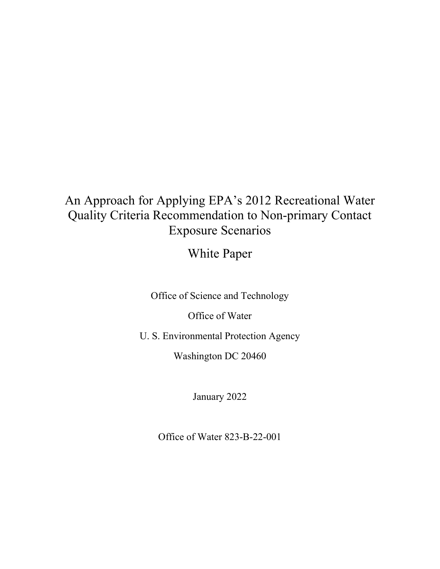# An Approach for Applying EPA's 2012 Recreational Water Quality Criteria Recommendation to Non-primary Contact Exposure Scenarios

White Paper

Office of Science and Technology

Office of Water

U. S. Environmental Protection Agency

Washington DC 20460

January 2022

Office of Water 823-B-22-001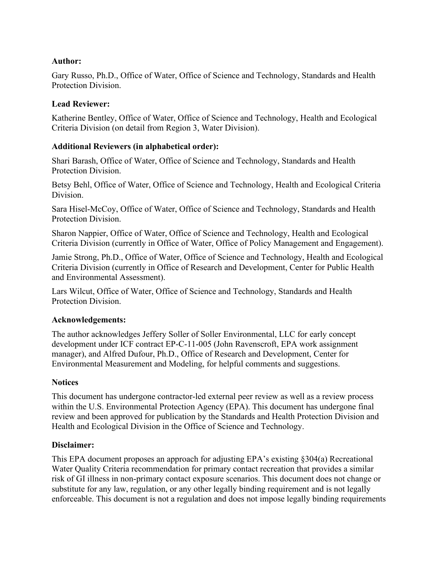## **Author:**

Gary Russo, Ph.D., Office of Water, Office of Science and Technology, Standards and Health Protection Division.

## **Lead Reviewer:**

Katherine Bentley, Office of Water, Office of Science and Technology, Health and Ecological Criteria Division (on detail from Region 3, Water Division).

## **Additional Reviewers (in alphabetical order):**

Shari Barash, Office of Water, Office of Science and Technology, Standards and Health Protection Division.

Betsy Behl, Office of Water, Office of Science and Technology, Health and Ecological Criteria Division.

Sara Hisel-McCoy, Office of Water, Office of Science and Technology, Standards and Health Protection Division.

Sharon Nappier, Office of Water, Office of Science and Technology, Health and Ecological Criteria Division (currently in Office of Water, Office of Policy Management and Engagement).

Jamie Strong, Ph.D., Office of Water, Office of Science and Technology, Health and Ecological Criteria Division (currently in Office of Research and Development, Center for Public Health and Environmental Assessment).

Lars Wilcut, Office of Water, Office of Science and Technology, Standards and Health Protection Division.

## **Acknowledgements:**

The author acknowledges Jeffery Soller of Soller Environmental, LLC for early concept development under ICF contract EP-C-11-005 (John Ravenscroft, EPA work assignment manager), and Alfred Dufour, Ph.D., Office of Research and Development, Center for Environmental Measurement and Modeling, for helpful comments and suggestions.

## **Notices**

This document has undergone contractor-led external peer review as well as a review process within the U.S. Environmental Protection Agency (EPA). This document has undergone final review and been approved for publication by the Standards and Health Protection Division and Health and Ecological Division in the Office of Science and Technology.

## **Disclaimer:**

This EPA document proposes an approach for adjusting EPA's existing §304(a) Recreational Water Quality Criteria recommendation for primary contact recreation that provides a similar risk of GI illness in non-primary contact exposure scenarios. This document does not change or substitute for any law, regulation, or any other legally binding requirement and is not legally enforceable. This document is not a regulation and does not impose legally binding requirements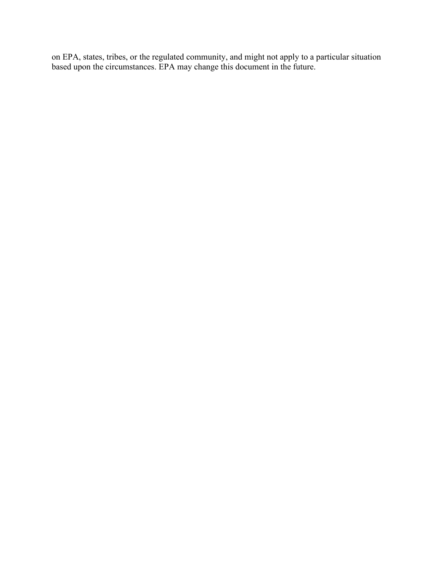on EPA, states, tribes, or the regulated community, and might not apply to a particular situation based upon the circumstances. EPA may change this document in the future.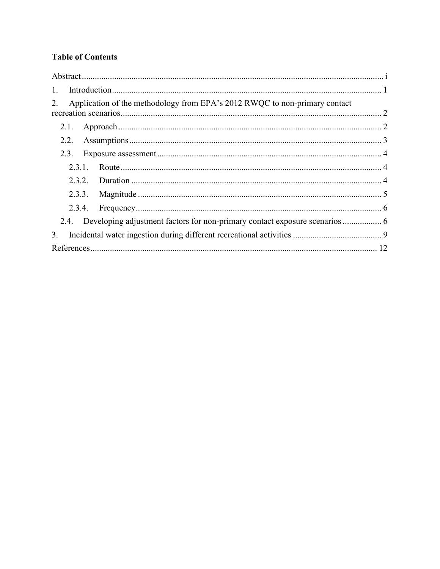## **Table of Contents**

| $\mathbf{1}$ .                                                                   |  |
|----------------------------------------------------------------------------------|--|
| Application of the methodology from EPA's 2012 RWQC to non-primary contact<br>2. |  |
| 2.1.                                                                             |  |
|                                                                                  |  |
| 2.3.                                                                             |  |
| 2.3.1.                                                                           |  |
| 2.3.2.                                                                           |  |
|                                                                                  |  |
| 2.3.4.                                                                           |  |
|                                                                                  |  |
| 3.                                                                               |  |
|                                                                                  |  |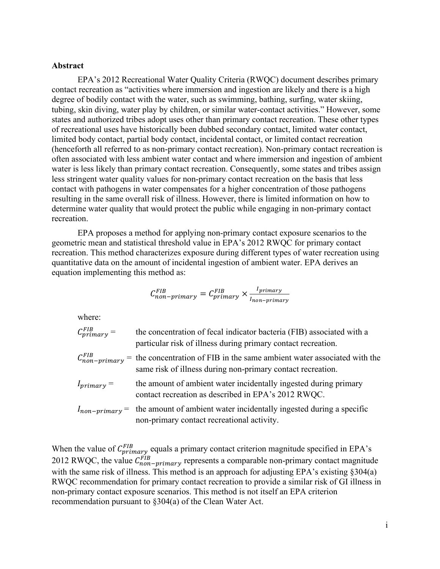#### <span id="page-4-0"></span>**Abstract**

EPA's 2012 Recreational Water Quality Criteria (RWQC) document describes primary contact recreation as "activities where immersion and ingestion are likely and there is a high degree of bodily contact with the water, such as swimming, bathing, surfing, water skiing, tubing, skin diving, water play by children, or similar water-contact activities." However, some states and authorized tribes adopt uses other than primary contact recreation. These other types of recreational uses have historically been dubbed secondary contact, limited water contact, limited body contact, partial body contact, incidental contact, or limited contact recreation (henceforth all referred to as non-primary contact recreation). Non-primary contact recreation is often associated with less ambient water contact and where immersion and ingestion of ambient water is less likely than primary contact recreation. Consequently, some states and tribes assign less stringent water quality values for non-primary contact recreation on the basis that less contact with pathogens in water compensates for a higher concentration of those pathogens resulting in the same overall risk of illness. However, there is limited information on how to determine water quality that would protect the public while engaging in non-primary contact recreation.

EPA proposes a method for applying non-primary contact exposure scenarios to the geometric mean and statistical threshold value in EPA's 2012 RWQC for primary contact recreation. This method characterizes exposure during different types of water recreation using quantitative data on the amount of incidental ingestion of ambient water. EPA derives an equation implementing this method as:

$$
C_{non-primary}^{FIB} = C_{primary}^{FIB} \times \frac{I_{primary}}{I_{non-primary}}
$$

where:

| $C_{primary}^{FIB} =$ | the concentration of fecal indicator bacteria (FIB) associated with a<br>particular risk of illness during primary contact recreation.                          |
|-----------------------|-----------------------------------------------------------------------------------------------------------------------------------------------------------------|
|                       | $C_{non-primary}^{FIB}$ = the concentration of FIB in the same ambient water associated with the<br>same risk of illness during non-primary contact recreation. |
| $I_{primary} =$       | the amount of ambient water incidentally ingested during primary<br>contact recreation as described in EPA's 2012 RWQC.                                         |
|                       | $I_{non-primary}$ the amount of ambient water incidentally ingested during a specific<br>non-primary contact recreational activity.                             |

When the value of  $C_{primary}^{FIB}$  equals a primary contact criterion magnitude specified in EPA's 2012 RWQC, the value  $C_{non-primary}^{FIB}$  represents a comparable non-primary contact magnitude with the same risk of illness. This method is an approach for adjusting EPA's existing §304(a) RWQC recommendation for primary contact recreation to provide a similar risk of GI illness in non-primary contact exposure scenarios. This method is not itself an EPA criterion recommendation pursuant to §304(a) of the Clean Water Act.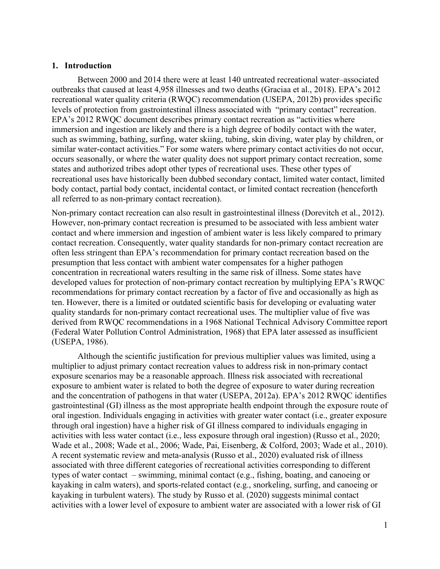#### <span id="page-5-0"></span>**1. Introduction**

Between 2000 and 2014 there were at least 140 untreated recreational water–associated outbreaks that caused at least 4,958 illnesses and two deaths (Graciaa et al., 2018). EPA's 2012 recreational water quality criteria (RWQC) recommendation (USEPA, 2012b) provides specific levels of protection from gastrointestinal illness associated with "primary contact" recreation. EPA's 2012 RWQC document describes primary contact recreation as "activities where immersion and ingestion are likely and there is a high degree of bodily contact with the water, such as swimming, bathing, surfing, water skiing, tubing, skin diving, water play by children, or similar water-contact activities." For some waters where primary contact activities do not occur, occurs seasonally, or where the water quality does not support primary contact recreation, some states and authorized tribes adopt other types of recreational uses. These other types of recreational uses have historically been dubbed secondary contact, limited water contact, limited body contact, partial body contact, incidental contact, or limited contact recreation (henceforth all referred to as non-primary contact recreation).

Non-primary contact recreation can also result in gastrointestinal illness (Dorevitch et al., 2012). However, non-primary contact recreation is presumed to be associated with less ambient water contact and where immersion and ingestion of ambient water is less likely compared to primary contact recreation. Consequently, water quality standards for non-primary contact recreation are often less stringent than EPA's recommendation for primary contact recreation based on the presumption that less contact with ambient water compensates for a higher pathogen concentration in recreational waters resulting in the same risk of illness. Some states have developed values for protection of non-primary contact recreation by multiplying EPA's RWQC recommendations for primary contact recreation by a factor of five and occasionally as high as ten. However, there is a limited or outdated scientific basis for developing or evaluating water quality standards for non-primary contact recreational uses. The multiplier value of five was derived from RWQC recommendations in a 1968 National Technical Advisory Committee report (Federal Water Pollution Control Administration, 1968) that EPA later assessed as insufficient (USEPA, 1986).

Although the scientific justification for previous multiplier values was limited, using a multiplier to adjust primary contact recreation values to address risk in non-primary contact exposure scenarios may be a reasonable approach. Illness risk associated with recreational exposure to ambient water is related to both the degree of exposure to water during recreation and the concentration of pathogens in that water (USEPA, 2012a). EPA's 2012 RWQC identifies gastrointestinal (GI) illness as the most appropriate health endpoint through the exposure route of oral ingestion. Individuals engaging in activities with greater water contact (i.e., greater exposure through oral ingestion) have a higher risk of GI illness compared to individuals engaging in activities with less water contact (i.e., less exposure through oral ingestion) (Russo et al., 2020; Wade et al., 2008; Wade et al., 2006; Wade, Pai, Eisenberg, & Colford, 2003; Wade et al., 2010). A recent systematic review and meta-analysis (Russo et al., 2020) evaluated risk of illness associated with three different categories of recreational activities corresponding to different types of water contact – swimming, minimal contact (e.g., fishing, boating, and canoeing or kayaking in calm waters), and sports-related contact (e.g., snorkeling, surfing, and canoeing or kayaking in turbulent waters). The study by Russo et al. (2020) suggests minimal contact activities with a lower level of exposure to ambient water are associated with a lower risk of GI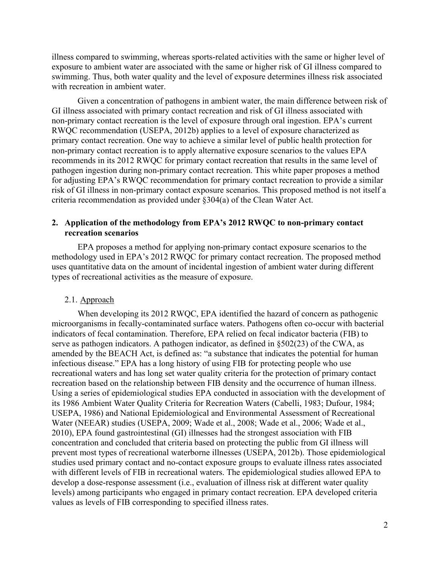illness compared to swimming, whereas sports-related activities with the same or higher level of exposure to ambient water are associated with the same or higher risk of GI illness compared to swimming. Thus, both water quality and the level of exposure determines illness risk associated with recreation in ambient water.

Given a concentration of pathogens in ambient water, the main difference between risk of GI illness associated with primary contact recreation and risk of GI illness associated with non-primary contact recreation is the level of exposure through oral ingestion. EPA's current RWQC recommendation (USEPA, 2012b) applies to a level of exposure characterized as primary contact recreation. One way to achieve a similar level of public health protection for non-primary contact recreation is to apply alternative exposure scenarios to the values EPA recommends in its 2012 RWQC for primary contact recreation that results in the same level of pathogen ingestion during non-primary contact recreation. This white paper proposes a method for adjusting EPA's RWQC recommendation for primary contact recreation to provide a similar risk of GI illness in non-primary contact exposure scenarios. This proposed method is not itself a criteria recommendation as provided under §304(a) of the Clean Water Act.

#### <span id="page-6-0"></span>**2. Application of the methodology from EPA's 2012 RWQC to non-primary contact recreation scenarios**

EPA proposes a method for applying non-primary contact exposure scenarios to the methodology used in EPA's 2012 RWQC for primary contact recreation. The proposed method uses quantitative data on the amount of incidental ingestion of ambient water during different types of recreational activities as the measure of exposure.

#### <span id="page-6-1"></span>2.1. Approach

When developing its 2012 RWQC, EPA identified the hazard of concern as pathogenic microorganisms in fecally-contaminated surface waters. Pathogens often co-occur with bacterial indicators of fecal contamination. Therefore, EPA relied on fecal indicator bacteria (FIB) to serve as pathogen indicators. A pathogen indicator, as defined in §502(23) of the CWA, as amended by the BEACH Act, is defined as: "a substance that indicates the potential for human infectious disease." EPA has a long history of using FIB for protecting people who use recreational waters and has long set water quality criteria for the protection of primary contact recreation based on the relationship between FIB density and the occurrence of human illness. Using a series of epidemiological studies EPA conducted in association with the development of its 1986 Ambient Water Quality Criteria for Recreation Waters (Cabelli, 1983; Dufour, 1984; USEPA, 1986) and National Epidemiological and Environmental Assessment of Recreational Water (NEEAR) studies (USEPA, 2009; Wade et al., 2008; Wade et al., 2006; Wade et al., 2010), EPA found gastrointestinal (GI) illnesses had the strongest association with FIB concentration and concluded that criteria based on protecting the public from GI illness will prevent most types of recreational waterborne illnesses (USEPA, 2012b). Those epidemiological studies used primary contact and no-contact exposure groups to evaluate illness rates associated with different levels of FIB in recreational waters. The epidemiological studies allowed EPA to develop a dose-response assessment (i.e., evaluation of illness risk at different water quality levels) among participants who engaged in primary contact recreation. EPA developed criteria values as levels of FIB corresponding to specified illness rates.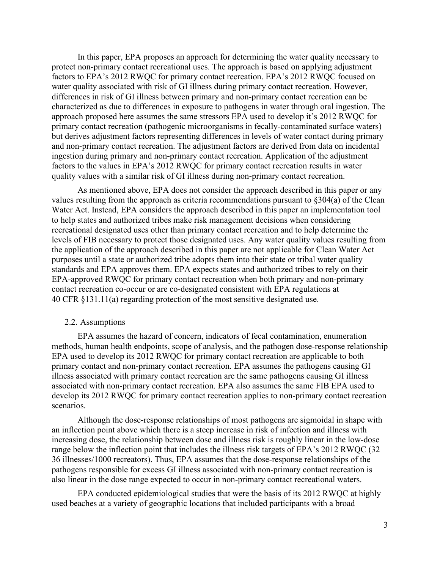In this paper, EPA proposes an approach for determining the water quality necessary to protect non-primary contact recreational uses. The approach is based on applying adjustment factors to EPA's 2012 RWQC for primary contact recreation. EPA's 2012 RWQC focused on water quality associated with risk of GI illness during primary contact recreation. However, differences in risk of GI illness between primary and non-primary contact recreation can be characterized as due to differences in exposure to pathogens in water through oral ingestion. The approach proposed here assumes the same stressors EPA used to develop it's 2012 RWQC for primary contact recreation (pathogenic microorganisms in fecally-contaminated surface waters) but derives adjustment factors representing differences in levels of water contact during primary and non-primary contact recreation. The adjustment factors are derived from data on incidental ingestion during primary and non-primary contact recreation. Application of the adjustment factors to the values in EPA's 2012 RWQC for primary contact recreation results in water quality values with a similar risk of GI illness during non-primary contact recreation.

As mentioned above, EPA does not consider the approach described in this paper or any values resulting from the approach as criteria recommendations pursuant to §304(a) of the Clean Water Act. Instead, EPA considers the approach described in this paper an implementation tool to help states and authorized tribes make risk management decisions when considering recreational designated uses other than primary contact recreation and to help determine the levels of FIB necessary to protect those designated uses. Any water quality values resulting from the application of the approach described in this paper are not applicable for Clean Water Act purposes until a state or authorized tribe adopts them into their state or tribal water quality standards and EPA approves them. EPA expects states and authorized tribes to rely on their EPA-approved RWQC for primary contact recreation when both primary and non-primary contact recreation co-occur or are co-designated consistent with EPA regulations at 40 CFR §131.11(a) regarding protection of the most sensitive designated use.

#### <span id="page-7-0"></span>2.2. Assumptions

EPA assumes the hazard of concern, indicators of fecal contamination, enumeration methods, human health endpoints, scope of analysis, and the pathogen dose-response relationship EPA used to develop its 2012 RWQC for primary contact recreation are applicable to both primary contact and non-primary contact recreation. EPA assumes the pathogens causing GI illness associated with primary contact recreation are the same pathogens causing GI illness associated with non-primary contact recreation. EPA also assumes the same FIB EPA used to develop its 2012 RWQC for primary contact recreation applies to non-primary contact recreation scenarios.

Although the dose-response relationships of most pathogens are sigmoidal in shape with an inflection point above which there is a steep increase in risk of infection and illness with increasing dose, the relationship between dose and illness risk is roughly linear in the low-dose range below the inflection point that includes the illness risk targets of EPA's 2012 RWQC (32 – 36 illnesses/1000 recreators). Thus, EPA assumes that the dose-response relationships of the pathogens responsible for excess GI illness associated with non-primary contact recreation is also linear in the dose range expected to occur in non-primary contact recreational waters.

EPA conducted epidemiological studies that were the basis of its 2012 RWQC at highly used beaches at a variety of geographic locations that included participants with a broad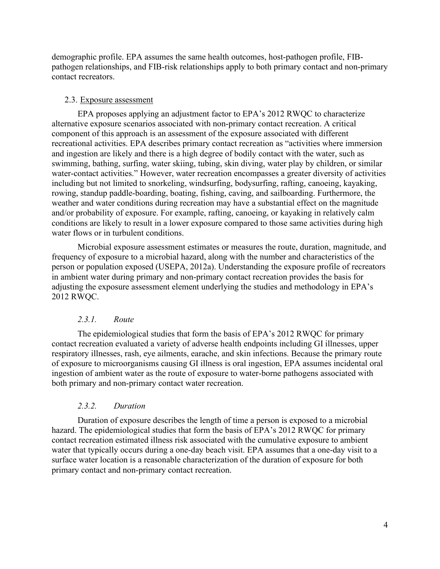demographic profile. EPA assumes the same health outcomes, host-pathogen profile, FIBpathogen relationships, and FIB-risk relationships apply to both primary contact and non-primary contact recreators.

#### <span id="page-8-0"></span>2.3. Exposure assessment

EPA proposes applying an adjustment factor to EPA's 2012 RWQC to characterize alternative exposure scenarios associated with non-primary contact recreation. A critical component of this approach is an assessment of the exposure associated with different recreational activities. EPA describes primary contact recreation as "activities where immersion and ingestion are likely and there is a high degree of bodily contact with the water, such as swimming, bathing, surfing, water skiing, tubing, skin diving, water play by children, or similar water-contact activities." However, water recreation encompasses a greater diversity of activities including but not limited to snorkeling, windsurfing, bodysurfing, rafting, canoeing, kayaking, rowing, standup paddle-boarding, boating, fishing, caving, and sailboarding. Furthermore, the weather and water conditions during recreation may have a substantial effect on the magnitude and/or probability of exposure. For example, rafting, canoeing, or kayaking in relatively calm conditions are likely to result in a lower exposure compared to those same activities during high water flows or in turbulent conditions.

Microbial exposure assessment estimates or measures the route, duration, magnitude, and frequency of exposure to a microbial hazard, along with the number and characteristics of the person or population exposed (USEPA, 2012a). Understanding the exposure profile of recreators in ambient water during primary and non-primary contact recreation provides the basis for adjusting the exposure assessment element underlying the studies and methodology in EPA's 2012 RWQC.

#### *2.3.1. Route*

<span id="page-8-1"></span>The epidemiological studies that form the basis of EPA's 2012 RWQC for primary contact recreation evaluated a variety of adverse health endpoints including GI illnesses, upper respiratory illnesses, rash, eye ailments, earache, and skin infections. Because the primary route of exposure to microorganisms causing GI illness is oral ingestion, EPA assumes incidental oral ingestion of ambient water as the route of exposure to water-borne pathogens associated with both primary and non-primary contact water recreation.

#### *2.3.2. Duration*

<span id="page-8-2"></span>Duration of exposure describes the length of time a person is exposed to a microbial hazard. The epidemiological studies that form the basis of EPA's 2012 RWQC for primary contact recreation estimated illness risk associated with the cumulative exposure to ambient water that typically occurs during a one-day beach visit. EPA assumes that a one-day visit to a surface water location is a reasonable characterization of the duration of exposure for both primary contact and non-primary contact recreation.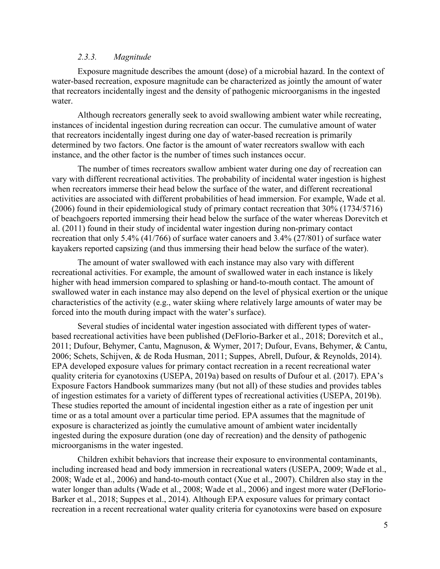#### *2.3.3. Magnitude*

<span id="page-9-0"></span>Exposure magnitude describes the amount (dose) of a microbial hazard. In the context of water-based recreation, exposure magnitude can be characterized as jointly the amount of water that recreators incidentally ingest and the density of pathogenic microorganisms in the ingested water.

Although recreators generally seek to avoid swallowing ambient water while recreating, instances of incidental ingestion during recreation can occur. The cumulative amount of water that recreators incidentally ingest during one day of water-based recreation is primarily determined by two factors. One factor is the amount of water recreators swallow with each instance, and the other factor is the number of times such instances occur.

The number of times recreators swallow ambient water during one day of recreation can vary with different recreational activities. The probability of incidental water ingestion is highest when recreators immerse their head below the surface of the water, and different recreational activities are associated with different probabilities of head immersion. For example, Wade et al. (2006) found in their epidemiological study of primary contact recreation that 30% (1734/5716) of beachgoers reported immersing their head below the surface of the water whereas Dorevitch et al. (2011) found in their study of incidental water ingestion during non-primary contact recreation that only 5.4% (41/766) of surface water canoers and 3.4% (27/801) of surface water kayakers reported capsizing (and thus immersing their head below the surface of the water).

The amount of water swallowed with each instance may also vary with different recreational activities. For example, the amount of swallowed water in each instance is likely higher with head immersion compared to splashing or hand-to-mouth contact. The amount of swallowed water in each instance may also depend on the level of physical exertion or the unique characteristics of the activity (e.g., water skiing where relatively large amounts of water may be forced into the mouth during impact with the water's surface).

Several studies of incidental water ingestion associated with different types of waterbased recreational activities have been published (DeFlorio-Barker et al., 2018; Dorevitch et al., 2011; Dufour, Behymer, Cantu, Magnuson, & Wymer, 2017; Dufour, Evans, Behymer, & Cantu, 2006; Schets, Schijven, & de Roda Husman, 2011; Suppes, Abrell, Dufour, & Reynolds, 2014). EPA developed exposure values for primary contact recreation in a recent recreational water quality criteria for cyanotoxins (USEPA, 2019a) based on results of Dufour et al. (2017). EPA's Exposure Factors Handbook summarizes many (but not all) of these studies and provides tables of ingestion estimates for a variety of different types of recreational activities (USEPA, 2019b). These studies reported the amount of incidental ingestion either as a rate of ingestion per unit time or as a total amount over a particular time period. EPA assumes that the magnitude of exposure is characterized as jointly the cumulative amount of ambient water incidentally ingested during the exposure duration (one day of recreation) and the density of pathogenic microorganisms in the water ingested.

Children exhibit behaviors that increase their exposure to environmental contaminants, including increased head and body immersion in recreational waters (USEPA, 2009; Wade et al., 2008; Wade et al., 2006) and hand-to-mouth contact (Xue et al., 2007). Children also stay in the water longer than adults (Wade et al., 2008; Wade et al., 2006) and ingest more water (DeFlorio-Barker et al., 2018; Suppes et al., 2014). Although EPA exposure values for primary contact recreation in a recent recreational water quality criteria for cyanotoxins were based on exposure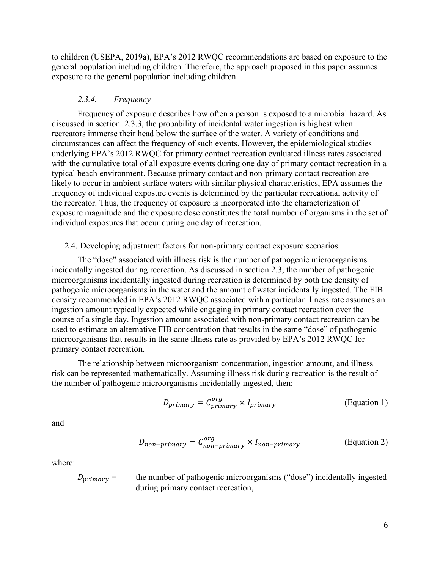to children (USEPA, 2019a), EPA's 2012 RWQC recommendations are based on exposure to the general population including children. Therefore, the approach proposed in this paper assumes exposure to the general population including children.

#### *2.3.4. Frequency*

<span id="page-10-0"></span>Frequency of exposure describes how often a person is exposed to a microbial hazard. As discussed in section [2.3.3,](#page-9-0) the probability of incidental water ingestion is highest when recreators immerse their head below the surface of the water. A variety of conditions and circumstances can affect the frequency of such events. However, the epidemiological studies underlying EPA's 2012 RWQC for primary contact recreation evaluated illness rates associated with the cumulative total of all exposure events during one day of primary contact recreation in a typical beach environment. Because primary contact and non-primary contact recreation are likely to occur in ambient surface waters with similar physical characteristics, EPA assumes the frequency of individual exposure events is determined by the particular recreational activity of the recreator. Thus, the frequency of exposure is incorporated into the characterization of exposure magnitude and the exposure dose constitutes the total number of organisms in the set of individual exposures that occur during one day of recreation.

#### <span id="page-10-1"></span>2.4. Developing adjustment factors for non-primary contact exposure scenarios

The "dose" associated with illness risk is the number of pathogenic microorganisms incidentally ingested during recreation. As discussed in section [2.3,](#page-8-0) the number of pathogenic microorganisms incidentally ingested during recreation is determined by both the density of pathogenic microorganisms in the water and the amount of water incidentally ingested. The FIB density recommended in EPA's 2012 RWQC associated with a particular illness rate assumes an ingestion amount typically expected while engaging in primary contact recreation over the course of a single day. Ingestion amount associated with non-primary contact recreation can be used to estimate an alternative FIB concentration that results in the same "dose" of pathogenic microorganisms that results in the same illness rate as provided by EPA's 2012 RWQC for primary contact recreation.

The relationship between microorganism concentration, ingestion amount, and illness risk can be represented mathematically. Assuming illness risk during recreation is the result of the number of pathogenic microorganisms incidentally ingested, then:

$$
D_{primary} = C_{primary}^{org} \times I_{primary}
$$
 (Equation 1)

and

$$
D_{non-primary} = C_{non-primary}^{org} \times I_{non-primary}
$$
 (Equation 2)

where:

 $D_{primary}$  = the number of pathogenic microorganisms ("dose") incidentally ingested during primary contact recreation,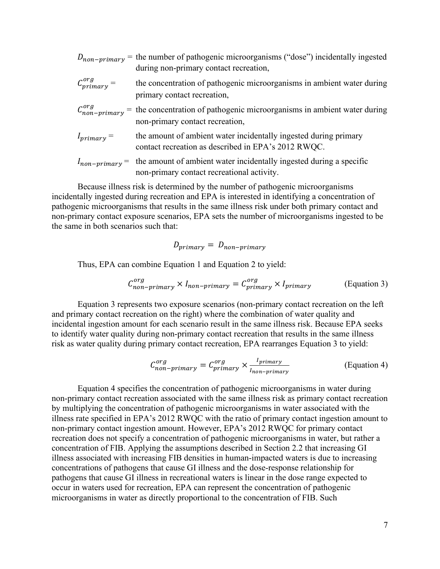|                       | $D_{non-primary}$ = the number of pathogenic microorganisms ("dose") incidentally ingested<br>during non-primary contact recreation, |
|-----------------------|--------------------------------------------------------------------------------------------------------------------------------------|
| $C_{primary}^{org} =$ | the concentration of pathogenic microorganisms in ambient water during<br>primary contact recreation,                                |
|                       | $C_{non-primary}^{org}$ = the concentration of pathogenic microorganisms in ambient water during<br>non-primary contact recreation,  |
| $I_{primary} =$       | the amount of ambient water incidentally ingested during primary<br>contact recreation as described in EPA's 2012 RWQC.              |
|                       | $I_{non-primary}$ the amount of ambient water incidentally ingested during a specific<br>non-primary contact recreational activity.  |

Because illness risk is determined by the number of pathogenic microorganisms incidentally ingested during recreation and EPA is interested in identifying a concentration of pathogenic microorganisms that results in the same illness risk under both primary contact and non-primary contact exposure scenarios, EPA sets the number of microorganisms ingested to be the same in both scenarios such that:

$$
D_{primary} = D_{non-primary}
$$

Thus, EPA can combine Equation 1 and Equation 2 to yield:

$$
C_{non-primary}^{org} \times I_{non-primary} = C_{primary}^{org} \times I_{primary}
$$
 (Equation 3)

Equation 3 represents two exposure scenarios (non-primary contact recreation on the left and primary contact recreation on the right) where the combination of water quality and incidental ingestion amount for each scenario result in the same illness risk. Because EPA seeks to identify water quality during non-primary contact recreation that results in the same illness risk as water quality during primary contact recreation, EPA rearranges Equation 3 to yield:

$$
C_{non-primary}^{org} = C_{primary}^{org} \times \frac{I_{primary}}{I_{non-primary}}
$$
 (Equation 4)

Equation 4 specifies the concentration of pathogenic microorganisms in water during non-primary contact recreation associated with the same illness risk as primary contact recreation by multiplying the concentration of pathogenic microorganisms in water associated with the illness rate specified in EPA's 2012 RWQC with the ratio of primary contact ingestion amount to non-primary contact ingestion amount. However, EPA's 2012 RWQC for primary contact recreation does not specify a concentration of pathogenic microorganisms in water, but rather a concentration of FIB. Applying the assumptions described in Section [2.2](#page-7-0) that increasing GI illness associated with increasing FIB densities in human-impacted waters is due to increasing concentrations of pathogens that cause GI illness and the dose-response relationship for pathogens that cause GI illness in recreational waters is linear in the dose range expected to occur in waters used for recreation, EPA can represent the concentration of pathogenic microorganisms in water as directly proportional to the concentration of FIB. Such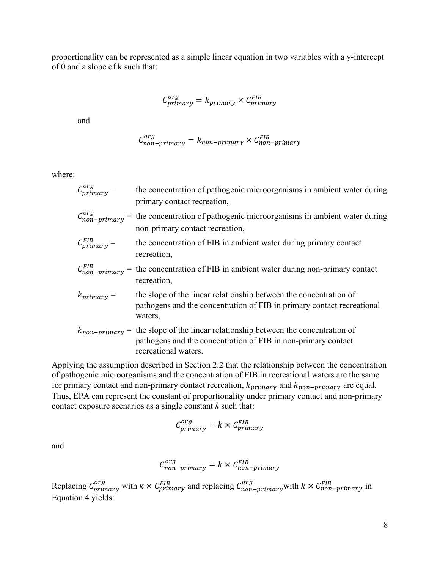proportionality can be represented as a simple linear equation in two variables with a y-intercept of 0 and a slope of k such that:

$$
C_{primary}^{org} = k_{primary} \times C_{primary}^{FIB}
$$

and

$$
C_{non-primary}^{org} = k_{non-primary} \times C_{non-primary}^{FIB}
$$

where:

| $C_{primary}^{org} =$             | the concentration of pathogenic microorganisms in ambient water during<br>primary contact recreation,                                                                          |
|-----------------------------------|--------------------------------------------------------------------------------------------------------------------------------------------------------------------------------|
| $\mathcal{C}_{non-primary}^{org}$ | = the concentration of pathogenic microorganisms in ambient water during<br>non-primary contact recreation,                                                                    |
| $C_{primary}^{FIB} =$             | the concentration of FIB in ambient water during primary contact<br>recreation,                                                                                                |
| $\mathcal{C}_{non-primary}^{FIB}$ | $=$ the concentration of FIB in ambient water during non-primary contact<br>recreation,                                                                                        |
| $k_{primary} =$                   | the slope of the linear relationship between the concentration of<br>pathogens and the concentration of FIB in primary contact recreational<br>waters,                         |
|                                   | $k_{non-primary}$ = the slope of the linear relationship between the concentration of<br>pathogens and the concentration of FIB in non-primary contact<br>recreational waters. |

Applying the assumption described in Section [2.2](#page-7-0) that the relationship between the concentration of pathogenic microorganisms and the concentration of FIB in recreational waters are the same for primary contact and non-primary contact recreation,  $k_{primary}$  and  $k_{non-primary}$  are equal. Thus, EPA can represent the constant of proportionality under primary contact and non-primary contact exposure scenarios as a single constant *k* such that:

$$
C_{primary}^{org} = k \times C_{primary}^{FIB}
$$

and

$$
C_{non-primary}^{org} = k \times C_{non-primary}^{FIB}
$$

Replacing  $C_{primary}^{org}$  with  $k \times C_{primary}^{FIB}$  and replacing  $C_{non-primary}^{org}$  with  $k \times C_{non-primary}^{FIB}$  in Equation 4 yields: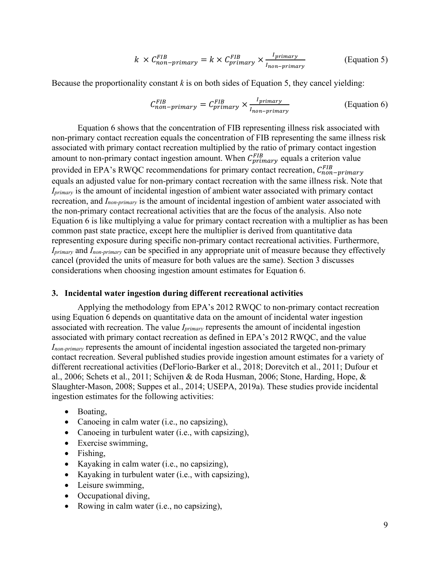$$
k \times C_{non-primary}^{FIB} = k \times C_{primary}^{FIB} \times \frac{I_{primary}}{I_{non-primary}}
$$
 (Equation 5)

Because the proportionality constant  $k$  is on both sides of Equation 5, they cancel yielding:

$$
C_{non-primary}^{FIB} = C_{primary}^{FIB} \times \frac{I_{primary}}{I_{non-primary}}
$$
 (Equation 6)

Equation 6 shows that the concentration of FIB representing illness risk associated with non-primary contact recreation equals the concentration of FIB representing the same illness risk associated with primary contact recreation multiplied by the ratio of primary contact ingestion amount to non-primary contact ingestion amount. When  $C_{primary}^{FIB}$  equals a criterion value provided in EPA's RWQC recommendations for primary contact recreation,  $C_{non-primary}^{FB}$ equals an adjusted value for non-primary contact recreation with the same illness risk. Note that *Iprimary* is the amount of incidental ingestion of ambient water associated with primary contact recreation, and *Inon-primary* is the amount of incidental ingestion of ambient water associated with the non-primary contact recreational activities that are the focus of the analysis. Also note Equation 6 is like multiplying a value for primary contact recreation with a multiplier as has been common past state practice, except here the multiplier is derived from quantitative data representing exposure during specific non-primary contact recreational activities. Furthermore, *Iprimary* and *Inon-primary* can be specified in any appropriate unit of measure because they effectively cancel (provided the units of measure for both values are the same). Section [3](#page-13-0) discusses considerations when choosing ingestion amount estimates for Equation 6.

#### <span id="page-13-0"></span>**3. Incidental water ingestion during different recreational activities**

Applying the methodology from EPA's 2012 RWQC to non-primary contact recreation using Equation 6 depends on quantitative data on the amount of incidental water ingestion associated with recreation. The value *Iprimary* represents the amount of incidental ingestion associated with primary contact recreation as defined in EPA's 2012 RWQC, and the value *Inon-primary* represents the amount of incidental ingestion associated the targeted non-primary contact recreation. Several published studies provide ingestion amount estimates for a variety of different recreational activities (DeFlorio-Barker et al., 2018; Dorevitch et al., 2011; Dufour et al., 2006; Schets et al., 2011; Schijven & de Roda Husman, 2006; Stone, Harding, Hope, & Slaughter-Mason, 2008; Suppes et al., 2014; USEPA, 2019a). These studies provide incidental ingestion estimates for the following activities:

- Boating,
- Canoeing in calm water (i.e., no capsizing),
- Canoeing in turbulent water (i.e., with capsizing),
- Exercise swimming,
- Fishing,
- Kayaking in calm water (i.e., no capsizing),
- Kayaking in turbulent water (i.e., with capsizing),
- Leisure swimming,
- Occupational diving,
- Rowing in calm water (i.e., no capsizing),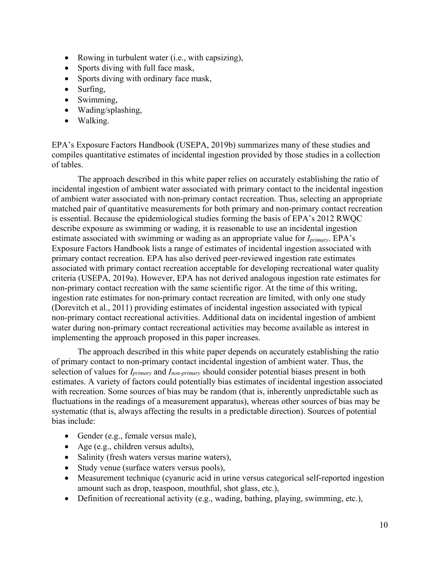- Rowing in turbulent water (i.e., with capsizing),
- Sports diving with full face mask,
- Sports diving with ordinary face mask,
- Surfing,
- Swimming,
- Wading/splashing,
- Walking.

EPA's Exposure Factors Handbook (USEPA, 2019b) summarizes many of these studies and compiles quantitative estimates of incidental ingestion provided by those studies in a collection of tables.

The approach described in this white paper relies on accurately establishing the ratio of incidental ingestion of ambient water associated with primary contact to the incidental ingestion of ambient water associated with non-primary contact recreation. Thus, selecting an appropriate matched pair of quantitative measurements for both primary and non-primary contact recreation is essential. Because the epidemiological studies forming the basis of EPA's 2012 RWQC describe exposure as swimming or wading, it is reasonable to use an incidental ingestion estimate associated with swimming or wading as an appropriate value for *Iprimary*. EPA's Exposure Factors Handbook lists a range of estimates of incidental ingestion associated with primary contact recreation. EPA has also derived peer-reviewed ingestion rate estimates associated with primary contact recreation acceptable for developing recreational water quality criteria (USEPA, 2019a). However, EPA has not derived analogous ingestion rate estimates for non-primary contact recreation with the same scientific rigor. At the time of this writing, ingestion rate estimates for non-primary contact recreation are limited, with only one study (Dorevitch et al., 2011) providing estimates of incidental ingestion associated with typical non-primary contact recreational activities. Additional data on incidental ingestion of ambient water during non-primary contact recreational activities may become available as interest in implementing the approach proposed in this paper increases.

The approach described in this white paper depends on accurately establishing the ratio of primary contact to non-primary contact incidental ingestion of ambient water. Thus, the selection of values for *Iprimary* and *Inon-primary* should consider potential biases present in both estimates. A variety of factors could potentially bias estimates of incidental ingestion associated with recreation. Some sources of bias may be random (that is, inherently unpredictable such as fluctuations in the readings of a measurement apparatus), whereas other sources of bias may be systematic (that is, always affecting the results in a predictable direction). Sources of potential bias include:

- Gender (e.g., female versus male),
- Age (e.g., children versus adults),
- Salinity (fresh waters versus marine waters),
- Study venue (surface waters versus pools),
- Measurement technique (cyanuric acid in urine versus categorical self-reported ingestion amount such as drop, teaspoon, mouthful, shot glass, etc.),
- Definition of recreational activity (e.g., wading, bathing, playing, swimming, etc.),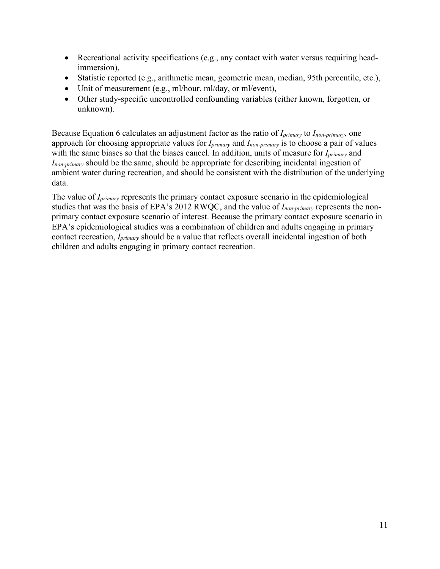- Recreational activity specifications (e.g., any contact with water versus requiring headimmersion),
- Statistic reported (e.g., arithmetic mean, geometric mean, median, 95th percentile, etc.),
- Unit of measurement (e.g., ml/hour, ml/day, or ml/event),
- Other study-specific uncontrolled confounding variables (either known, forgotten, or unknown).

Because Equation 6 calculates an adjustment factor as the ratio of *Iprimary* to *Inon-primary*, one approach for choosing appropriate values for *Iprimary* and *Inon-primary* is to choose a pair of values with the same biases so that the biases cancel. In addition, units of measure for *Iprimary* and *Inon-primary* should be the same, should be appropriate for describing incidental ingestion of ambient water during recreation, and should be consistent with the distribution of the underlying data.

The value of *Iprimary* represents the primary contact exposure scenario in the epidemiological studies that was the basis of EPA's 2012 RWQC, and the value of *Inon-primary* represents the nonprimary contact exposure scenario of interest. Because the primary contact exposure scenario in EPA's epidemiological studies was a combination of children and adults engaging in primary contact recreation, *Iprimary* should be a value that reflects overall incidental ingestion of both children and adults engaging in primary contact recreation.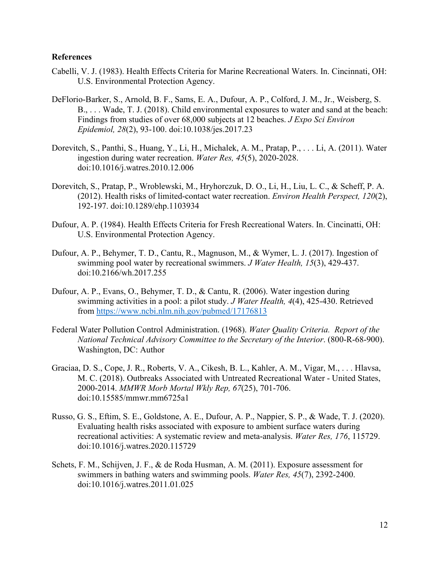#### <span id="page-16-0"></span>**References**

- Cabelli, V. J. (1983). Health Effects Criteria for Marine Recreational Waters. In. Cincinnati, OH: U.S. Environmental Protection Agency.
- DeFlorio-Barker, S., Arnold, B. F., Sams, E. A., Dufour, A. P., Colford, J. M., Jr., Weisberg, S. B., . . . Wade, T. J. (2018). Child environmental exposures to water and sand at the beach: Findings from studies of over 68,000 subjects at 12 beaches. *J Expo Sci Environ Epidemiol, 28*(2), 93-100. doi:10.1038/jes.2017.23
- Dorevitch, S., Panthi, S., Huang, Y., Li, H., Michalek, A. M., Pratap, P., . . . Li, A. (2011). Water ingestion during water recreation. *Water Res, 45*(5), 2020-2028. doi:10.1016/j.watres.2010.12.006
- Dorevitch, S., Pratap, P., Wroblewski, M., Hryhorczuk, D. O., Li, H., Liu, L. C., & Scheff, P. A. (2012). Health risks of limited-contact water recreation. *Environ Health Perspect, 120*(2), 192-197. doi:10.1289/ehp.1103934
- Dufour, A. P. (1984). Health Effects Criteria for Fresh Recreational Waters. In. Cincinatti, OH: U.S. Environmental Protection Agency.
- Dufour, A. P., Behymer, T. D., Cantu, R., Magnuson, M., & Wymer, L. J. (2017). Ingestion of swimming pool water by recreational swimmers. *J Water Health, 15*(3), 429-437. doi:10.2166/wh.2017.255
- Dufour, A. P., Evans, O., Behymer, T. D., & Cantu, R. (2006). Water ingestion during swimming activities in a pool: a pilot study. *J Water Health, 4*(4), 425-430. Retrieved from<https://www.ncbi.nlm.nih.gov/pubmed/17176813>
- Federal Water Pollution Control Administration. (1968). *Water Quality Criteria. Report of the National Technical Advisory Committee to the Secretary of the Interior*. (800-R-68-900). Washington, DC: Author
- Graciaa, D. S., Cope, J. R., Roberts, V. A., Cikesh, B. L., Kahler, A. M., Vigar, M., . . . Hlavsa, M. C. (2018). Outbreaks Associated with Untreated Recreational Water - United States, 2000-2014. *MMWR Morb Mortal Wkly Rep, 67*(25), 701-706. doi:10.15585/mmwr.mm6725a1
- Russo, G. S., Eftim, S. E., Goldstone, A. E., Dufour, A. P., Nappier, S. P., & Wade, T. J. (2020). Evaluating health risks associated with exposure to ambient surface waters during recreational activities: A systematic review and meta-analysis. *Water Res, 176*, 115729. doi:10.1016/j.watres.2020.115729
- Schets, F. M., Schijven, J. F., & de Roda Husman, A. M. (2011). Exposure assessment for swimmers in bathing waters and swimming pools. *Water Res, 45*(7), 2392-2400. doi:10.1016/j.watres.2011.01.025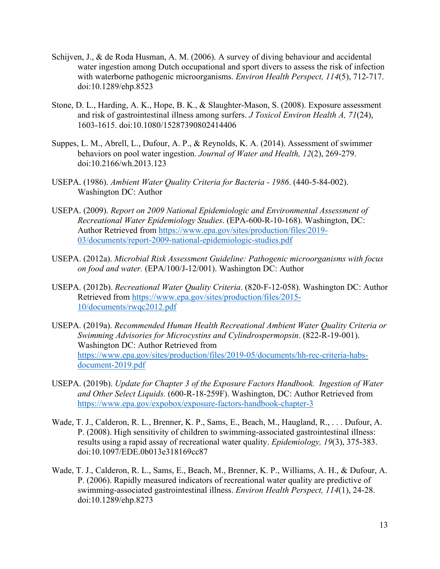- Schijven, J., & de Roda Husman, A. M. (2006). A survey of diving behaviour and accidental water ingestion among Dutch occupational and sport divers to assess the risk of infection with waterborne pathogenic microorganisms. *Environ Health Perspect, 114*(5), 712-717. doi:10.1289/ehp.8523
- Stone, D. L., Harding, A. K., Hope, B. K., & Slaughter-Mason, S. (2008). Exposure assessment and risk of gastrointestinal illness among surfers. *J Toxicol Environ Health A, 71*(24), 1603-1615. doi:10.1080/15287390802414406
- Suppes, L. M., Abrell, L., Dufour, A. P., & Reynolds, K. A. (2014). Assessment of swimmer behaviors on pool water ingestion. *Journal of Water and Health, 12*(2), 269-279. doi:10.2166/wh.2013.123
- USEPA. (1986). *Ambient Water Quality Criteria for Bacteria - 1986*. (440-5-84-002). Washington DC: Author
- USEPA. (2009). *Report on 2009 National Epidemiologic and Environmental Assessment of Recreational Water Epidemiology Studies*. (EPA-600-R-10-168). Washington, DC: Author Retrieved from [https://www.epa.gov/sites/production/files/2019-](https://www.epa.gov/sites/production/files/2019-03/documents/report-2009-national-epidemiologic-studies.pdf) [03/documents/report-2009-national-epidemiologic-studies.pdf](https://www.epa.gov/sites/production/files/2019-03/documents/report-2009-national-epidemiologic-studies.pdf)
- USEPA. (2012a). *Microbial Risk Assessment Guideline: Pathogenic microorganisms with focus on food and water.* (EPA/100/J-12/001). Washington DC: Author
- USEPA. (2012b). *Recreational Water Quality Criteria*. (820-F-12-058). Washington DC: Author Retrieved from [https://www.epa.gov/sites/production/files/2015-](https://www.epa.gov/sites/production/files/2015-10/documents/rwqc2012.pdf) [10/documents/rwqc2012.pdf](https://www.epa.gov/sites/production/files/2015-10/documents/rwqc2012.pdf)
- USEPA. (2019a). *Recommended Human Health Recreational Ambient Water Quality Criteria or Swimming Advisories for Microcystins and Cylindrospermopsin*. (822-R-19-001). Washington DC: Author Retrieved from [https://www.epa.gov/sites/production/files/2019-05/documents/hh-rec-criteria-habs](https://www.epa.gov/sites/production/files/2019-05/documents/hh-rec-criteria-habs-document-2019.pdf)[document-2019.pdf](https://www.epa.gov/sites/production/files/2019-05/documents/hh-rec-criteria-habs-document-2019.pdf)
- USEPA. (2019b). *Update for Chapter 3 of the Exposure Factors Handbook. Ingestion of Water and Other Select Liquids.* (600-R-18-259F). Washington, DC: Author Retrieved from <https://www.epa.gov/expobox/exposure-factors-handbook-chapter-3>
- Wade, T. J., Calderon, R. L., Brenner, K. P., Sams, E., Beach, M., Haugland, R., . . . Dufour, A. P. (2008). High sensitivity of children to swimming-associated gastrointestinal illness: results using a rapid assay of recreational water quality. *Epidemiology, 19*(3), 375-383. doi:10.1097/EDE.0b013e318169cc87
- Wade, T. J., Calderon, R. L., Sams, E., Beach, M., Brenner, K. P., Williams, A. H., & Dufour, A. P. (2006). Rapidly measured indicators of recreational water quality are predictive of swimming-associated gastrointestinal illness. *Environ Health Perspect, 114*(1), 24-28. doi:10.1289/ehp.8273